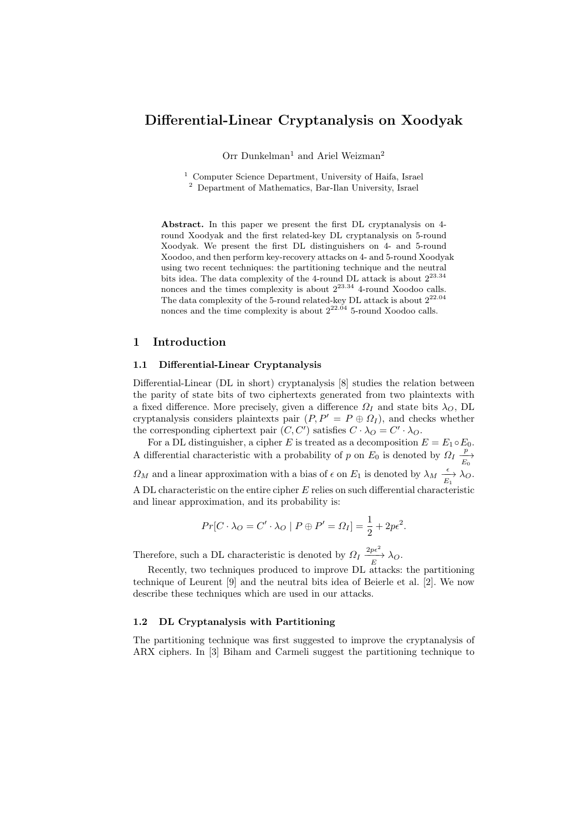# Differential-Linear Cryptanalysis on Xoodyak

Orr Dunkelman<sup>1</sup> and Ariel Weizman<sup>2</sup>

<sup>1</sup> Computer Science Department, University of Haifa, Israel <sup>2</sup> Department of Mathematics, Bar-Ilan University, Israel

Abstract. In this paper we present the first DL cryptanalysis on 4 round Xoodyak and the first related-key DL cryptanalysis on 5-round Xoodyak. We present the first DL distinguishers on 4- and 5-round Xoodoo, and then perform key-recovery attacks on 4- and 5-round Xoodyak using two recent techniques: the partitioning technique and the neutral bits idea. The data complexity of the 4-round DL attack is about  $2^{23.34}$ nonces and the times complexity is about  $2^{23.34}$  4-round Xoodoo calls. The data complexity of the 5-round related-key DL attack is about  $2^{22.04}\,$ nonces and the time complexity is about  $2^{22.04}$  5-round Xoodoo calls.

## 1 Introduction

### 1.1 Differential-Linear Cryptanalysis

Differential-Linear (DL in short) cryptanalysis [8] studies the relation between the parity of state bits of two ciphertexts generated from two plaintexts with a fixed difference. More precisely, given a difference  $\Omega_I$  and state bits  $\lambda_O$ , DL cryptanalysis considers plaintexts pair  $(P, P' = P \oplus \Omega_I)$ , and checks whether the corresponding ciphertext pair  $(C, C')$  satisfies  $C \cdot \lambda_O = C' \cdot \lambda_O$ .

For a DL distinguisher, a cipher E is treated as a decomposition  $E = E_1 \circ E_0$ . A differential characteristic with a probability of p on  $E_0$  is denoted by  $\Omega_I \frac{p}{E_0}$  $\Omega_M$  and a linear approximation with a bias of  $\epsilon$  on  $E_1$  is denoted by  $\lambda_M \xrightarrow[E_1]{\epsilon} \lambda_O$ . A DL characteristic on the entire cipher E relies on such differential characteristic and linear approximation, and its probability is:

$$
Pr[C \cdot \lambda_O = C' \cdot \lambda_O \mid P \oplus P' = \Omega_I] = \frac{1}{2} + 2p\epsilon^2.
$$

Therefore, such a DL characteristic is denoted by  $\Omega_I \xrightarrow[E]{2p\epsilon^2} \lambda_O$ .

Recently, two techniques produced to improve DL attacks: the partitioning technique of Leurent [9] and the neutral bits idea of Beierle et al. [2]. We now describe these techniques which are used in our attacks.

### 1.2 DL Cryptanalysis with Partitioning

The partitioning technique was first suggested to improve the cryptanalysis of ARX ciphers. In [3] Biham and Carmeli suggest the partitioning technique to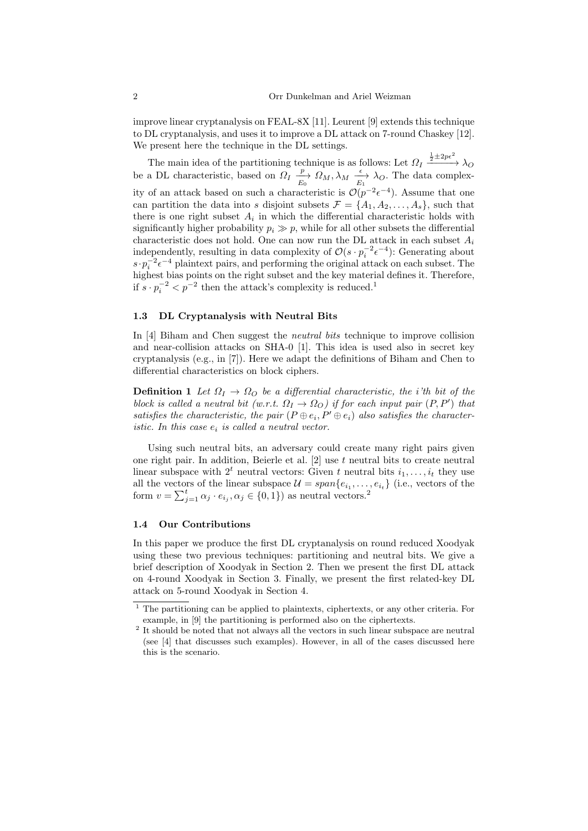improve linear cryptanalysis on FEAL-8X [11]. Leurent [9] extends this technique to DL cryptanalysis, and uses it to improve a DL attack on 7-round Chaskey [12]. We present here the technique in the DL settings.

The main idea of the partitioning technique is as follows: Let  $\Omega_I \xrightarrow{\frac{1}{2} \pm 2p\epsilon^2} \lambda_O$ be a DL characteristic, based on  $\Omega_I \xrightarrow[E_0]{p} \Omega_M, \lambda_M \xrightarrow[E_1]{\epsilon} \lambda_O$ . The data complexity of an attack based on such a characteristic is  $\mathcal{O}(p^{-2} \epsilon^{-4})$ . Assume that one can partition the data into s disjoint subsets  $\mathcal{F} = \{A_1, A_2, \ldots, A_s\}$ , such that there is one right subset  $A_i$  in which the differential characteristic holds with significantly higher probability  $p_i \gg p$ , while for all other subsets the differential characteristic does not hold. One can now run the DL attack in each subset  $A_i$ independently, resulting in data complexity of  $\mathcal{O}(s \cdot p_i^{-2} \epsilon^{-4})$ : Generating about  $s \cdot p_i^{-2} \epsilon^{-4}$  plaintext pairs, and performing the original attack on each subset. The highest bias points on the right subset and the key material defines it. Therefore, if  $s \cdot p_i^{-2} < p^{-2}$  then the attack's complexity is reduced.<sup>1</sup>

#### 1.3 DL Cryptanalysis with Neutral Bits

In [4] Biham and Chen suggest the neutral bits technique to improve collision and near-collision attacks on SHA-0 [1]. This idea is used also in secret key cryptanalysis (e.g., in [7]). Here we adapt the definitions of Biham and Chen to differential characteristics on block ciphers.

**Definition 1** Let  $\Omega_I \to \Omega_O$  be a differential characteristic, the i'th bit of the block is called a neutral bit (w.r.t.  $\Omega_I \to \Omega_O$ ) if for each input pair  $(P, P')$  that satisfies the characteristic, the pair  $(P \oplus e_i, P' \oplus e_i)$  also satisfies the characteristic. In this case  $e_i$  is called a neutral vector.

Using such neutral bits, an adversary could create many right pairs given one right pair. In addition, Beierle et al.  $[2]$  use  $t$  neutral bits to create neutral linear subspace with  $2^t$  neutral vectors: Given t neutral bits  $i_1, \ldots, i_t$  they use all the vectors of the linear subspace  $\mathcal{U} = span\{e_{i_1}, \ldots, e_{i_t}\}\$  (i.e., vectors of the form  $v = \sum_{j=1}^{t} \alpha_j \cdot e_{i_j}, \alpha_j \in \{0, 1\}$  as neutral vectors.<sup>2</sup>

## 1.4 Our Contributions

In this paper we produce the first DL cryptanalysis on round reduced Xoodyak using these two previous techniques: partitioning and neutral bits. We give a brief description of Xoodyak in Section 2. Then we present the first DL attack on 4-round Xoodyak in Section 3. Finally, we present the first related-key DL attack on 5-round Xoodyak in Section 4.

<sup>1</sup> The partitioning can be applied to plaintexts, ciphertexts, or any other criteria. For example, in [9] the partitioning is performed also on the ciphertexts.

<sup>&</sup>lt;sup>2</sup> It should be noted that not always all the vectors in such linear subspace are neutral (see [4] that discusses such examples). However, in all of the cases discussed here this is the scenario.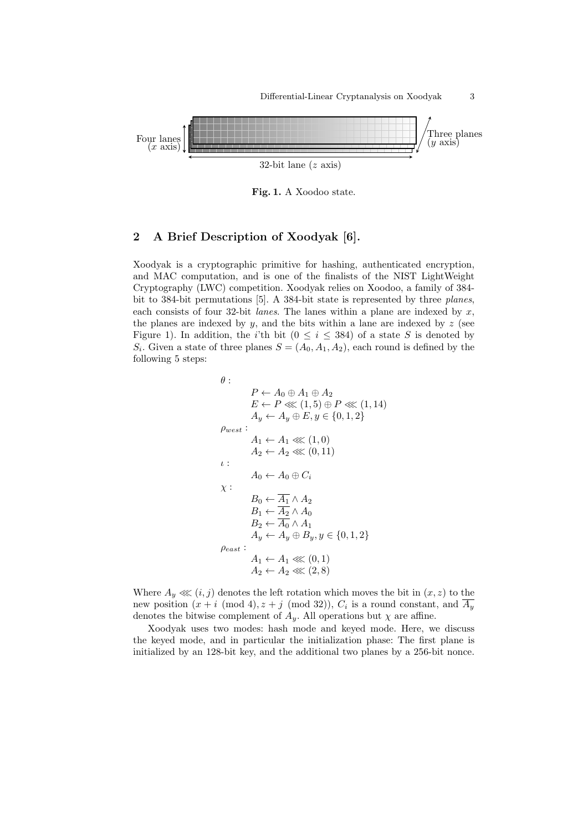

Fig. 1. A Xoodoo state.

## 2 A Brief Description of Xoodyak [6].

Xoodyak is a cryptographic primitive for hashing, authenticated encryption, and MAC computation, and is one of the finalists of the NIST LightWeight Cryptography (LWC) competition. Xoodyak relies on Xoodoo, a family of 384 bit to 384-bit permutations [5]. A 384-bit state is represented by three planes, each consists of four 32-bit *lanes*. The lanes within a plane are indexed by  $x$ , the planes are indexed by  $y$ , and the bits within a lane are indexed by  $z$  (see Figure 1). In addition, the *i*'th bit ( $0 \le i \le 384$ ) of a state S is denoted by  $S_i$ . Given a state of three planes  $S = (A_0, A_1, A_2)$ , each round is defined by the following 5 steps:

$$
\theta: \qquad P \leftarrow A_0 \oplus A_1 \oplus A_2
$$
\n
$$
E \leftarrow P \lll (1,5) \oplus P \lll (1,14)
$$
\n
$$
A_y \leftarrow A_y \oplus E, y \in \{0,1,2\}
$$
\n
$$
\rho_{west}:\qquad A_1 \leftarrow A_1 \lll (1,0)
$$
\n
$$
A_2 \leftarrow A_2 \lll (0,11)
$$
\n
$$
\therefore \qquad A_0 \leftarrow A_0 \oplus C_i
$$
\n
$$
\chi:\qquad B_0 \leftarrow \overline{A_1} \wedge A_2
$$
\n
$$
B_1 \leftarrow \overline{A_2} \wedge A_0
$$
\n
$$
B_2 \leftarrow \overline{A_0} \wedge A_1
$$
\n
$$
A_y \leftarrow A_y \oplus B_y, y \in \{0,1,2\}
$$
\n
$$
\rho_{east}:\qquad A_1 \leftarrow A_1 \lll (0,1)
$$
\n
$$
A_2 \leftarrow A_2 \lll (2,8)
$$

Where  $A_y \ll (i, j)$  denotes the left rotation which moves the bit in  $(x, z)$  to the new position  $(x + i \pmod{4}, z + j \pmod{32}$ ,  $C_i$  is a round constant, and  $A_y$ denotes the bitwise complement of  $A_y$ . All operations but  $\chi$  are affine.

Xoodyak uses two modes: hash mode and keyed mode. Here, we discuss the keyed mode, and in particular the initialization phase: The first plane is initialized by an 128-bit key, and the additional two planes by a 256-bit nonce.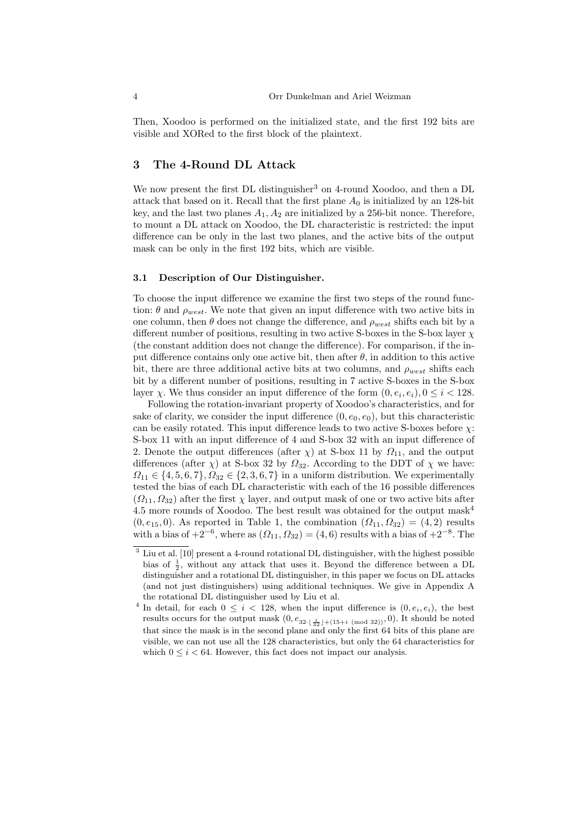Then, Xoodoo is performed on the initialized state, and the first 192 bits are visible and XORed to the first block of the plaintext.

## 3 The 4-Round DL Attack

We now present the first DL distinguisher<sup>3</sup> on 4-round Xoodoo, and then a DL attack that based on it. Recall that the first plane  $A_0$  is initialized by an 128-bit key, and the last two planes  $A_1, A_2$  are initialized by a 256-bit nonce. Therefore, to mount a DL attack on Xoodoo, the DL characteristic is restricted: the input difference can be only in the last two planes, and the active bits of the output mask can be only in the first 192 bits, which are visible.

## 3.1 Description of Our Distinguisher.

To choose the input difference we examine the first two steps of the round function:  $\theta$  and  $\rho_{west}$ . We note that given an input difference with two active bits in one column, then  $\theta$  does not change the difference, and  $\rho_{west}$  shifts each bit by a different number of positions, resulting in two active S-boxes in the S-box layer  $\chi$ (the constant addition does not change the difference). For comparison, if the input difference contains only one active bit, then after  $\theta$ , in addition to this active bit, there are three additional active bits at two columns, and  $\rho_{west}$  shifts each bit by a different number of positions, resulting in 7 active S-boxes in the S-box layer  $\chi$ . We thus consider an input difference of the form  $(0, e_i, e_i)$ ,  $0 \leq i < 128$ .

Following the rotation-invariant property of Xoodoo's characteristics, and for sake of clarity, we consider the input difference  $(0, e_0, e_0)$ , but this characteristic can be easily rotated. This input difference leads to two active S-boxes before  $\chi$ : S-box 11 with an input difference of 4 and S-box 32 with an input difference of 2. Denote the output differences (after  $\chi$ ) at S-box 11 by  $\Omega_{11}$ , and the output differences (after  $\chi$ ) at S-box 32 by  $\Omega_{32}$ . According to the DDT of  $\chi$  we have:  $\Omega_{11} \in \{4, 5, 6, 7\}, \Omega_{32} \in \{2, 3, 6, 7\}$  in a uniform distribution. We experimentally tested the bias of each DL characteristic with each of the 16 possible differences  $(\Omega_{11}, \Omega_{32})$  after the first  $\chi$  layer, and output mask of one or two active bits after 4.5 more rounds of Xoodoo. The best result was obtained for the output mask<sup>4</sup>  $(0, e_{15}, 0)$ . As reported in Table 1, the combination  $(\Omega_{11}, \Omega_{32}) = (4, 2)$  results with a bias of  $+2^{-6}$ , where as  $(\Omega_{11}, \Omega_{32}) = (4, 6)$  results with a bias of  $+2^{-8}$ . The

<sup>3</sup> Liu et al. [10] present a 4-round rotational DL distinguisher, with the highest possible bias of  $\frac{1}{2}$ , without any attack that uses it. Beyond the difference between a DL distinguisher and a rotational DL distinguisher, in this paper we focus on DL attacks (and not just distinguishers) using additional techniques. We give in Appendix A the rotational DL distinguisher used by Liu et al.

<sup>&</sup>lt;sup>4</sup> In detail, for each  $0 \leq i < 128$ , when the input difference is  $(0, e_i, e_i)$ , the best results occurs for the output mask  $(0, e_{32\cdot \frac{i}{32} \rfloor + (15+i \pmod{32})}, 0)$ . It should be noted that since the mask is in the second plane and only the first 64 bits of this plane are visible, we can not use all the 128 characteristics, but only the 64 characteristics for which  $0 \leq i < 64$ . However, this fact does not impact our analysis.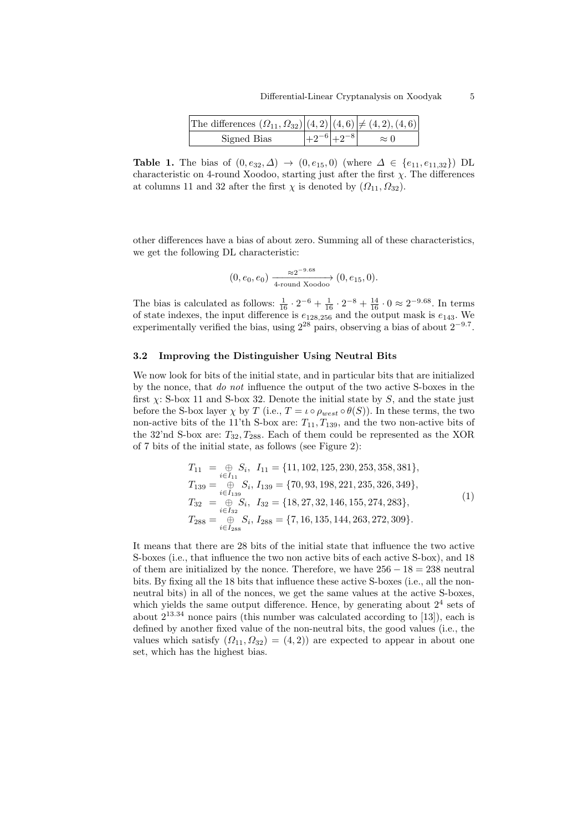| The differences $(\Omega_{11}, \Omega_{32}) (4,2) (4,6)  \neq (4,2),(4,6) $ |                                          |             |
|-----------------------------------------------------------------------------|------------------------------------------|-------------|
| Signed Bias                                                                 | $\left +9^{-6}\right $ + 9 <sup>-8</sup> | $\approx$ 0 |

Table 1. The bias of  $(0, e_{32}, \Delta) \to (0, e_{15}, 0)$  (where  $\Delta \in \{e_{11}, e_{11,32}\}\)$  DL characteristic on 4-round Xoodoo, starting just after the first  $\chi$ . The differences at columns 11 and 32 after the first  $\chi$  is denoted by  $(\Omega_{11}, \Omega_{32})$ .

other differences have a bias of about zero. Summing all of these characteristics, we get the following DL characteristic:

$$
(0, e_0, e_0) \xrightarrow[4\text{-round Xoodoo]} (0, e_{15}, 0).
$$

The bias is calculated as follows:  $\frac{1}{16} \cdot 2^{-6} + \frac{1}{16} \cdot 2^{-8} + \frac{14}{16} \cdot 0 \approx 2^{-9.68}$ . In terms of state indexes, the input difference is  $e_{128,256}$  and the output mask is  $e_{143}$ . We experimentally verified the bias, using  $2^{28}$  pairs, observing a bias of about  $2^{-9.7}$ .

#### 3.2 Improving the Distinguisher Using Neutral Bits

We now look for bits of the initial state, and in particular bits that are initialized by the nonce, that do not influence the output of the two active S-boxes in the first  $\chi$ : S-box 11 and S-box 32. Denote the initial state by S, and the state just before the S-box layer  $\chi$  by T (i.e.,  $T = \iota \circ \rho_{west} \circ \theta(S)$ ). In these terms, the two non-active bits of the 11'th S-box are:  $T_{11}, T_{139}$ , and the two non-active bits of the 32'nd S-box are:  $T_{32}, T_{288}$ . Each of them could be represented as the XOR of 7 bits of the initial state, as follows (see Figure 2):

$$
T_{11} = \bigoplus_{i \in I_{11}} S_i, I_{11} = \{11, 102, 125, 230, 253, 358, 381\},
$$
  
\n
$$
T_{139} = \bigoplus_{i \in I_{139}} S_i, I_{139} = \{70, 93, 198, 221, 235, 326, 349\},
$$
  
\n
$$
T_{32} = \bigoplus_{i \in I_{32}} S_i, I_{32} = \{18, 27, 32, 146, 155, 274, 283\},
$$
  
\n
$$
T_{288} = \bigoplus_{i \in I_{288}} S_i, I_{288} = \{7, 16, 135, 144, 263, 272, 309\}.
$$
  
\n(1)

It means that there are 28 bits of the initial state that influence the two active S-boxes (i.e., that influence the two non active bits of each active S-box), and 18 of them are initialized by the nonce. Therefore, we have  $256 - 18 = 238$  neutral bits. By fixing all the 18 bits that influence these active S-boxes (i.e., all the nonneutral bits) in all of the nonces, we get the same values at the active S-boxes, which yields the same output difference. Hence, by generating about  $2<sup>4</sup>$  sets of about  $2^{13.34}$  nonce pairs (this number was calculated according to [13]), each is defined by another fixed value of the non-neutral bits, the good values (i.e., the values which satisfy  $(\Omega_{11}, \Omega_{32}) = (4, 2)$  are expected to appear in about one set, which has the highest bias.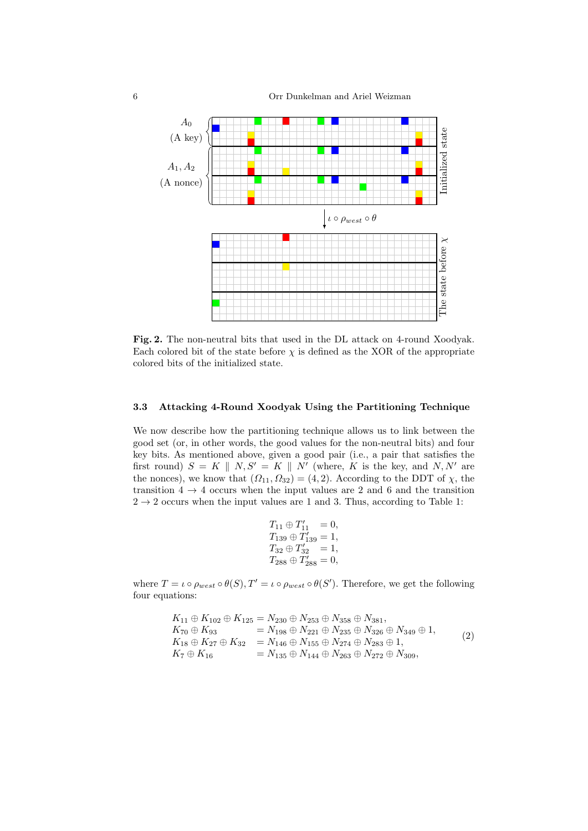6 Orr Dunkelman and Ariel Weizman



Fig. 2. The non-neutral bits that used in the DL attack on 4-round Xoodyak. Each colored bit of the state before  $\chi$  is defined as the XOR of the appropriate colored bits of the initialized state.

#### 3.3 Attacking 4-Round Xoodyak Using the Partitioning Technique

We now describe how the partitioning technique allows us to link between the good set (or, in other words, the good values for the non-neutral bits) and four key bits. As mentioned above, given a good pair (i.e., a pair that satisfies the first round)  $S = K \parallel N, S' = K \parallel N'$  (where, K is the key, and N, N' are the nonces), we know that  $(\Omega_{11}, \Omega_{32}) = (4, 2)$ . According to the DDT of  $\chi$ , the transition  $4 \rightarrow 4$  occurs when the input values are 2 and 6 and the transition  $2 \rightarrow 2$  occurs when the input values are 1 and 3. Thus, according to Table 1:

$$
\begin{array}{l} T_{11}\oplus T_{11}'\ = 0,\\ T_{139}\oplus T_{139}'=1,\\ T_{32}\oplus T_{32}'\ = 1,\\ T_{288}\oplus T_{288}'=0,\\ \end{array}
$$

where  $T = \iota \circ \rho_{west} \circ \theta(S), T' = \iota \circ \rho_{west} \circ \theta(S')$ . Therefore, we get the following four equations:

$$
K_{11} \oplus K_{102} \oplus K_{125} = N_{230} \oplus N_{253} \oplus N_{358} \oplus N_{381},
$$
  
\n
$$
K_{70} \oplus K_{93} = N_{198} \oplus N_{221} \oplus N_{235} \oplus N_{326} \oplus N_{349} \oplus 1,
$$
  
\n
$$
K_{18} \oplus K_{27} \oplus K_{32} = N_{146} \oplus N_{155} \oplus N_{274} \oplus N_{283} \oplus 1,
$$
  
\n
$$
K_{7} \oplus K_{16} = N_{135} \oplus N_{144} \oplus N_{263} \oplus N_{272} \oplus N_{309},
$$
  
\n(2)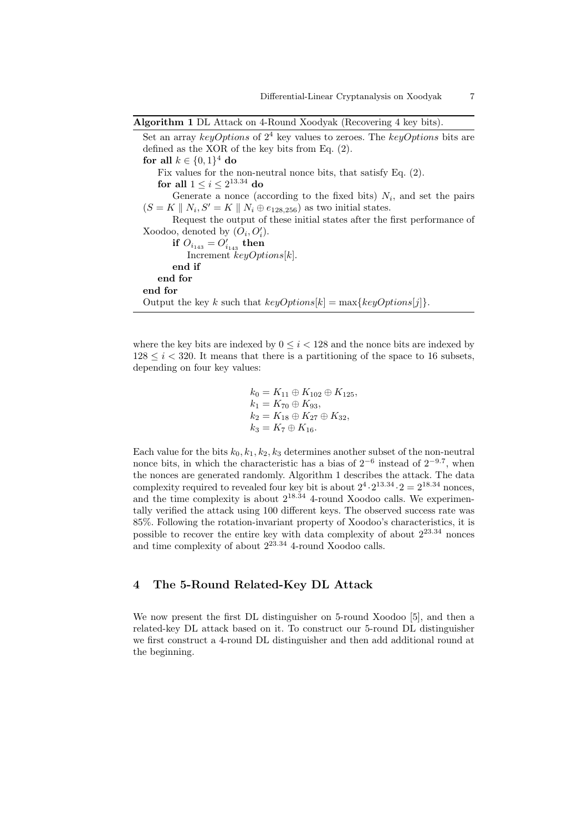Algorithm 1 DL Attack on 4-Round Xoodyak (Recovering 4 key bits).

Set an array keyOptions of  $2^4$  key values to zeroes. The keyOptions bits are defined as the XOR of the key bits from Eq. (2). for all  $k \in \{0,1\}^4$  do Fix values for the non-neutral nonce bits, that satisfy Eq. (2). for all  $1 \leq i \leq 2^{13.34}$  do Generate a nonce (according to the fixed bits)  $N_i$ , and set the pairs  $(S = K \parallel N_i, S' = K \parallel N_i \oplus e_{128,256})$  as two initial states. Request the output of these initial states after the first performance of Xoodoo, denoted by  $(O_i, O'_i)$ . if  $O_{i_{143}} = O'_{i_{143}}$  then Increment  $keyOptions[k]$ . end if end for end for Output the key k such that  $keyOptions[k] = \max\{keyOptions[j]\}.$ 

where the key bits are indexed by  $0 \leq i < 128$  and the nonce bits are indexed by  $128 \leq i < 320$ . It means that there is a partitioning of the space to 16 subsets, depending on four key values:

> $k_0 = K_{11} \oplus K_{102} \oplus K_{125}$  $k_1 = K_{70} \oplus K_{93}$  $k_2 = K_{18} \oplus K_{27} \oplus K_{32}$  $k_3 = K_7 \oplus K_{16}.$

Each value for the bits  $k_0, k_1, k_2, k_3$  determines another subset of the non-neutral nonce bits, in which the characteristic has a bias of  $2^{-6}$  instead of  $2^{-9.7}$ , when the nonces are generated randomly. Algorithm 1 describes the attack. The data complexity required to revealed four key bit is about  $2^4 \cdot 2^{13.34} \cdot 2 = 2^{18.34}$  nonces, and the time complexity is about  $2^{18.34}$  4-round Xoodoo calls. We experimentally verified the attack using 100 different keys. The observed success rate was 85%. Following the rotation-invariant property of Xoodoo's characteristics, it is possible to recover the entire key with data complexity of about  $2^{23.34}$  nonces and time complexity of about  $2^{23.34}$  4-round Xoodoo calls.

## 4 The 5-Round Related-Key DL Attack

We now present the first DL distinguisher on 5-round Xoodoo [5], and then a related-key DL attack based on it. To construct our 5-round DL distinguisher we first construct a 4-round DL distinguisher and then add additional round at the beginning.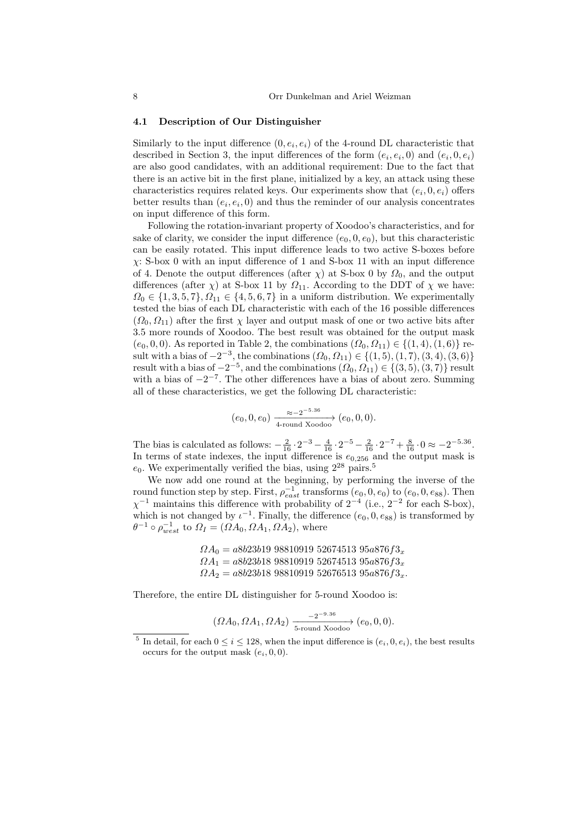#### 4.1 Description of Our Distinguisher

Similarly to the input difference  $(0, e_i, e_i)$  of the 4-round DL characteristic that described in Section 3, the input differences of the form  $(e_i, e_i, 0)$  and  $(e_i, 0, e_i)$ are also good candidates, with an additional requirement: Due to the fact that there is an active bit in the first plane, initialized by a key, an attack using these characteristics requires related keys. Our experiments show that  $(e_i, 0, e_i)$  offers better results than  $(e_i, e_i, 0)$  and thus the reminder of our analysis concentrates on input difference of this form.

Following the rotation-invariant property of Xoodoo's characteristics, and for sake of clarity, we consider the input difference  $(e_0, 0, e_0)$ , but this characteristic can be easily rotated. This input difference leads to two active S-boxes before  $\chi$ : S-box 0 with an input difference of 1 and S-box 11 with an input difference of 4. Denote the output differences (after  $\chi$ ) at S-box 0 by  $\Omega_0$ , and the output differences (after  $\chi$ ) at S-box 11 by  $\Omega_{11}$ . According to the DDT of  $\chi$  we have:  $\Omega_0 \in \{1, 3, 5, 7\}, \Omega_{11} \in \{4, 5, 6, 7\}$  in a uniform distribution. We experimentally tested the bias of each DL characteristic with each of the 16 possible differences  $(\Omega_0, \Omega_{11})$  after the first  $\chi$  layer and output mask of one or two active bits after 3.5 more rounds of Xoodoo. The best result was obtained for the output mask  $(e_0, 0, 0)$ . As reported in Table 2, the combinations  $(\Omega_0, \Omega_{11}) \in \{(1, 4), (1, 6)\}\$ result with a bias of  $-2^{-3}$ , the combinations  $(\Omega_0, \Omega_{11}) \in \{(1, 5), (1, 7), (3, 4), (3, 6)\}\$ result with a bias of  $-2^{-5}$ , and the combinations  $(\Omega_0, \Omega_{11}) \in \{(3, 5), (3, 7)\}$  result with a bias of  $-2^{-7}$ . The other differences have a bias of about zero. Summing all of these characteristics, we get the following DL characteristic:

$$
(e_0, 0, e_0) \xrightarrow[4\text{-round Xoodoo]} (e_0, 0, 0).
$$

The bias is calculated as follows:  $-\frac{2}{16} \cdot 2^{-3} - \frac{4}{16} \cdot 2^{-5} - \frac{2}{16} \cdot 2^{-7} + \frac{8}{16} \cdot 0 \approx -2^{-5.36}$ . In terms of state indexes, the input difference is  $e_{0,256}$  and the output mask is  $e_0$ . We experimentally verified the bias, using  $2^{28}$  pairs.<sup>5</sup>

We now add one round at the beginning, by performing the inverse of the round function step by step. First,  $\rho_{east}^{-1}$  transforms  $(e_0, 0, e_0)$  to  $(e_0, 0, e_{88})$ . Then  $\chi^{-1}$  maintains this difference with probability of  $2^{-4}$  (i.e.,  $2^{-2}$  for each S-box), which is not changed by  $\iota^{-1}$ . Finally, the difference  $(e_0, 0, e_{88})$  is transformed by  $\theta^{-1} \circ \rho_{west}^{-1}$  to  $\Omega_I = (\Omega A_0, \Omega A_1, \Omega A_2)$ , where

> $\Omega A_0 = a8b23b19\ 98810919\ 52674513\ 95a876f3_x$  $\Omega A_1 = a8b23b18988109195267451395a876f3_x$  $\Omega A_2 = a8b23b18988109195267651395a876f3_x.$

Therefore, the entire DL distinguisher for 5-round Xoodoo is:

$$
(\Omega A_0, \Omega A_1, \Omega A_2) \xrightarrow[5\text{-round Xoodoo]} (e_0, 0, 0).
$$

<sup>&</sup>lt;sup>5</sup> In detail, for each  $0 \le i \le 128$ , when the input difference is  $(e_i, 0, e_i)$ , the best results occurs for the output mask  $(e_i, 0, 0)$ .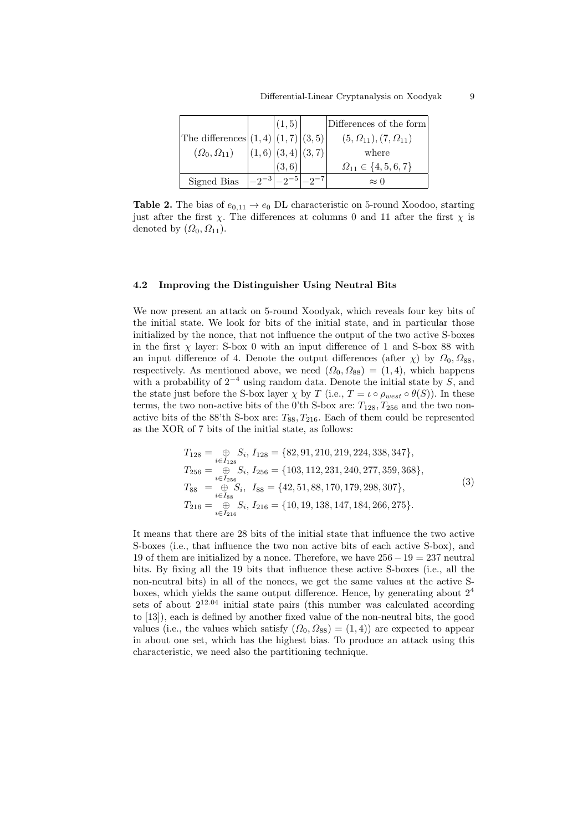| The differences $(1,4)   (1,7)   (3,5)  $<br>$(\Omega_0,\Omega_{11})$ | (1, 5)<br>$\vert (1,6) \vert (3,4) \vert (3,7) \vert$ | Differences of the form<br>$(5,\Omega_{11}), (7,\Omega_{11})$<br>where |
|-----------------------------------------------------------------------|-------------------------------------------------------|------------------------------------------------------------------------|
|                                                                       | (3,6)                                                 | $\Omega_{11} \in \{4, 5, 6, 7\}$                                       |
| Signed Bias                                                           |                                                       | $\approx 0$                                                            |

**Table 2.** The bias of  $e_{0,11} \rightarrow e_0$  DL characteristic on 5-round Xoodoo, starting just after the first  $\chi$ . The differences at columns 0 and 11 after the first  $\chi$  is denoted by  $(\Omega_0, \Omega_{11})$ .

#### 4.2 Improving the Distinguisher Using Neutral Bits

We now present an attack on 5-round Xoodyak, which reveals four key bits of the initial state. We look for bits of the initial state, and in particular those initialized by the nonce, that not influence the output of the two active S-boxes in the first  $\chi$  layer: S-box 0 with an input difference of 1 and S-box 88 with an input difference of 4. Denote the output differences (after  $\chi$ ) by  $\Omega_0$ ,  $\Omega_{88}$ , respectively. As mentioned above, we need  $(\Omega_0, \Omega_{88}) = (1, 4)$ , which happens with a probability of  $2^{-4}$  using random data. Denote the initial state by S, and the state just before the S-box layer  $\chi$  by T (i.e.,  $T = \iota \circ \rho_{west} \circ \theta(S)$ ). In these terms, the two non-active bits of the 0'th S-box are:  $T_{128}, T_{256}$  and the two nonactive bits of the 88'th S-box are:  $T_{88}$ ,  $T_{216}$ . Each of them could be represented as the XOR of 7 bits of the initial state, as follows:

$$
T_{128} = \bigoplus_{i \in I_{128}} S_i, I_{128} = \{82, 91, 210, 219, 224, 338, 347\},
$$
  
\n
$$
T_{256} = \bigoplus_{i \in I_{256}} S_i, I_{256} = \{103, 112, 231, 240, 277, 359, 368\},
$$
  
\n
$$
T_{88} = \bigoplus_{i \in I_{88}} S_i, I_{88} = \{42, 51, 88, 170, 179, 298, 307\},
$$
  
\n
$$
T_{216} = \bigoplus_{i \in I_{216}} S_i, I_{216} = \{10, 19, 138, 147, 184, 266, 275\}.
$$
  
\n(3)

It means that there are 28 bits of the initial state that influence the two active S-boxes (i.e., that influence the two non active bits of each active S-box), and 19 of them are initialized by a nonce. Therefore, we have  $256 - 19 = 237$  neutral bits. By fixing all the 19 bits that influence these active S-boxes (i.e., all the non-neutral bits) in all of the nonces, we get the same values at the active Sboxes, which yields the same output difference. Hence, by generating about  $2<sup>4</sup>$ sets of about  $2^{12.04}$  initial state pairs (this number was calculated according to [13]), each is defined by another fixed value of the non-neutral bits, the good values (i.e., the values which satisfy  $(\Omega_0, \Omega_{88}) = (1, 4)$ ) are expected to appear in about one set, which has the highest bias. To produce an attack using this characteristic, we need also the partitioning technique.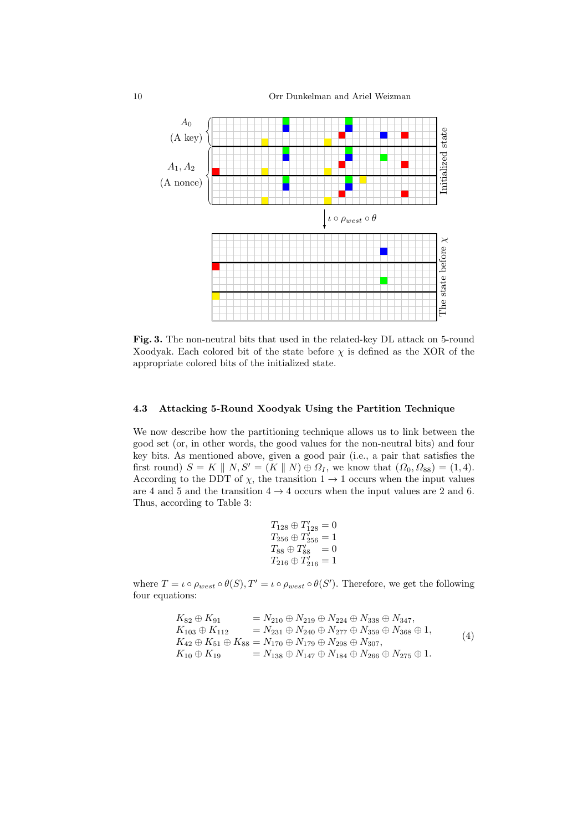10 Orr Dunkelman and Ariel Weizman



Fig. 3. The non-neutral bits that used in the related-key DL attack on 5-round Xoodyak. Each colored bit of the state before  $\chi$  is defined as the XOR of the appropriate colored bits of the initialized state.

### 4.3 Attacking 5-Round Xoodyak Using the Partition Technique

We now describe how the partitioning technique allows us to link between the good set (or, in other words, the good values for the non-neutral bits) and four key bits. As mentioned above, given a good pair (i.e., a pair that satisfies the first round)  $S = K \parallel N, S' = (K \parallel N) \oplus \Omega_I$ , we know that  $(\Omega_0, \Omega_{88}) = (1, 4)$ . According to the DDT of  $\chi$ , the transition  $1 \to 1$  occurs when the input values are 4 and 5 and the transition  $4 \rightarrow 4$  occurs when the input values are 2 and 6. Thus, according to Table 3:

$$
T_{128} \oplus T'_{128} = 0
$$
  
\n
$$
T_{256} \oplus T'_{256} = 1
$$
  
\n
$$
T_{88} \oplus T'_{88} = 0
$$
  
\n
$$
T_{216} \oplus T'_{216} = 1
$$

where  $T = \iota \circ \rho_{west} \circ \theta(S), T' = \iota \circ \rho_{west} \circ \theta(S')$ . Therefore, we get the following four equations:

$$
K_{82} \oplus K_{91} = N_{210} \oplus N_{219} \oplus N_{224} \oplus N_{338} \oplus N_{347},
$$
  
\n
$$
K_{103} \oplus K_{112} = N_{231} \oplus N_{240} \oplus N_{277} \oplus N_{359} \oplus N_{368} \oplus 1,
$$
  
\n
$$
K_{42} \oplus K_{51} \oplus K_{88} = N_{170} \oplus N_{179} \oplus N_{298} \oplus N_{307},
$$
  
\n
$$
K_{10} \oplus K_{19} = N_{138} \oplus N_{147} \oplus N_{184} \oplus N_{266} \oplus N_{275} \oplus 1.
$$
  
\n(4)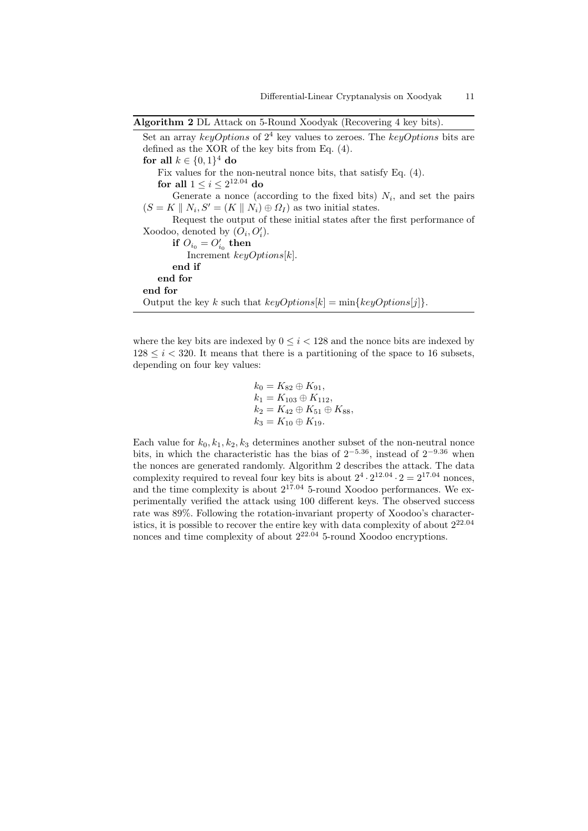```
Algorithm 2 DL Attack on 5-Round Xoodyak (Recovering 4 key bits).
```
Set an array keyOptions of  $2^4$  key values to zeroes. The keyOptions bits are defined as the XOR of the key bits from Eq. (4). for all  $k \in \{0,1\}^4$  do Fix values for the non-neutral nonce bits, that satisfy Eq. (4). for all  $1 \leq i \leq 2^{12.04}$  do Generate a nonce (according to the fixed bits)  $N_i$ , and set the pairs  $(S = K \parallel N_i, S' = (K \parallel N_i) \oplus \Omega_I)$  as two initial states. Request the output of these initial states after the first performance of Xoodoo, denoted by  $(O_i, O'_i)$ . if  $O_{i_0} = O'_{i_0}$  then Increment  $keyOptions[k]$ . end if end for end for Output the key k such that  $keyOptions[k] = min\{keyOptions[j]\}.$ 

where the key bits are indexed by  $0 \le i \le 128$  and the nonce bits are indexed by  $128 \leq i \leq 320$ . It means that there is a partitioning of the space to 16 subsets, depending on four key values:

$$
k_0 = K_{82} \oplus K_{91},
$$
  
\n
$$
k_1 = K_{103} \oplus K_{112},
$$
  
\n
$$
k_2 = K_{42} \oplus K_{51} \oplus K_{88},
$$
  
\n
$$
k_3 = K_{10} \oplus K_{19}.
$$

Each value for  $k_0, k_1, k_2, k_3$  determines another subset of the non-neutral nonce bits, in which the characteristic has the bias of  $2^{-5.36}$ , instead of  $2^{-9.36}$  when the nonces are generated randomly. Algorithm 2 describes the attack. The data complexity required to reveal four key bits is about  $2^4 \cdot 2^{12.04} \cdot 2 = 2^{17.04}$  nonces, and the time complexity is about  $2^{17.04}$  5-round Xoodoo performances. We experimentally verified the attack using 100 different keys. The observed success rate was 89%. Following the rotation-invariant property of Xoodoo's characteristics, it is possible to recover the entire key with data complexity of about 222.<sup>04</sup> nonces and time complexity of about  $2^{22.04}$  5-round Xoodoo encryptions.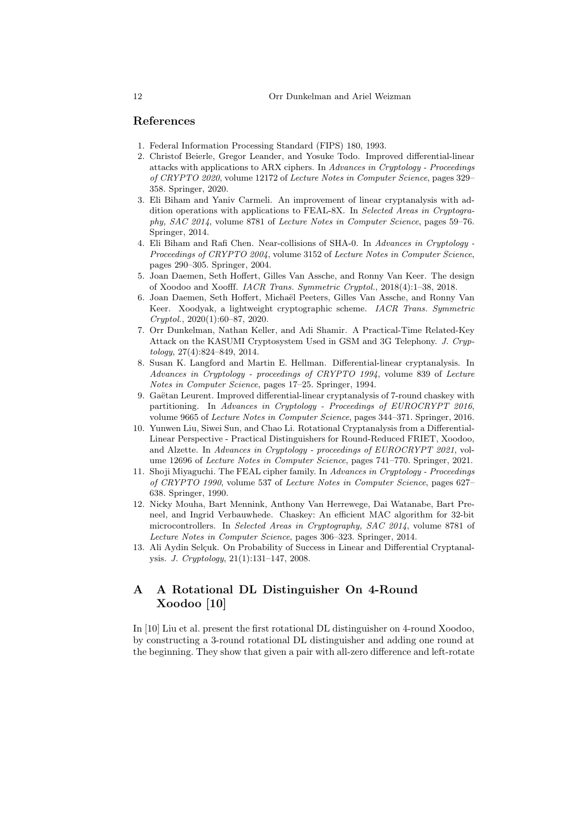#### References

- 1. Federal Information Processing Standard (FIPS) 180, 1993.
- 2. Christof Beierle, Gregor Leander, and Yosuke Todo. Improved differential-linear attacks with applications to ARX ciphers. In Advances in Cryptology - Proceedings of CRYPTO 2020, volume 12172 of Lecture Notes in Computer Science, pages 329– 358. Springer, 2020.
- 3. Eli Biham and Yaniv Carmeli. An improvement of linear cryptanalysis with addition operations with applications to FEAL-8X. In Selected Areas in Cryptography, SAC 2014, volume 8781 of Lecture Notes in Computer Science, pages 59–76. Springer, 2014.
- 4. Eli Biham and Rafi Chen. Near-collisions of SHA-0. In Advances in Cryptology Proceedings of CRYPTO 2004, volume 3152 of Lecture Notes in Computer Science, pages 290–305. Springer, 2004.
- 5. Joan Daemen, Seth Hoffert, Gilles Van Assche, and Ronny Van Keer. The design of Xoodoo and Xoofff. IACR Trans. Symmetric Cryptol., 2018(4):1–38, 2018.
- 6. Joan Daemen, Seth Hoffert, Micha¨el Peeters, Gilles Van Assche, and Ronny Van Keer. Xoodyak, a lightweight cryptographic scheme. IACR Trans. Symmetric Cryptol., 2020(1):60–87, 2020.
- 7. Orr Dunkelman, Nathan Keller, and Adi Shamir. A Practical-Time Related-Key Attack on the KASUMI Cryptosystem Used in GSM and 3G Telephony. J. Cryptology, 27(4):824–849, 2014.
- 8. Susan K. Langford and Martin E. Hellman. Differential-linear cryptanalysis. In Advances in Cryptology - proceedings of CRYPTO 1994, volume 839 of Lecture Notes in Computer Science, pages 17–25. Springer, 1994.
- 9. Gaëtan Leurent. Improved differential-linear cryptanalysis of 7-round chaskey with partitioning. In Advances in Cryptology - Proceedings of EUROCRYPT 2016, volume 9665 of Lecture Notes in Computer Science, pages 344–371. Springer, 2016.
- 10. Yunwen Liu, Siwei Sun, and Chao Li. Rotational Cryptanalysis from a Differential-Linear Perspective - Practical Distinguishers for Round-Reduced FRIET, Xoodoo, and Alzette. In Advances in Cryptology - proceedings of EUROCRYPT 2021, volume 12696 of Lecture Notes in Computer Science, pages 741–770. Springer, 2021.
- 11. Shoji Miyaguchi. The FEAL cipher family. In Advances in Cryptology Proceedings of CRYPTO 1990, volume 537 of Lecture Notes in Computer Science, pages 627– 638. Springer, 1990.
- 12. Nicky Mouha, Bart Mennink, Anthony Van Herrewege, Dai Watanabe, Bart Preneel, and Ingrid Verbauwhede. Chaskey: An efficient MAC algorithm for 32-bit microcontrollers. In Selected Areas in Cryptography, SAC 2014, volume 8781 of Lecture Notes in Computer Science, pages 306–323. Springer, 2014.
- 13. Ali Aydin Selçuk. On Probability of Success in Linear and Differential Cryptanalysis. J. Cryptology, 21(1):131–147, 2008.

# A A Rotational DL Distinguisher On 4-Round Xoodoo [10]

In [10] Liu et al. present the first rotational DL distinguisher on 4-round Xoodoo, by constructing a 3-round rotational DL distinguisher and adding one round at the beginning. They show that given a pair with all-zero difference and left-rotate